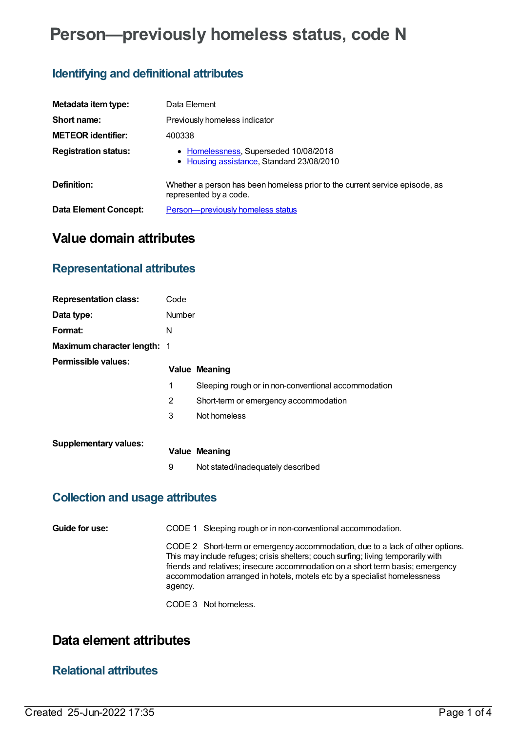# **Person—previously homeless status, code N**

# **Identifying and definitional attributes**

| Metadata item type:         | Data Element                                                                                          |  |  |
|-----------------------------|-------------------------------------------------------------------------------------------------------|--|--|
| Short name:                 | Previously homeless indicator                                                                         |  |  |
| <b>METEOR identifier:</b>   | 400338                                                                                                |  |  |
| <b>Registration status:</b> | • Homelessness, Superseded 10/08/2018<br>• Housing assistance, Standard 23/08/2010                    |  |  |
| Definition:                 | Whether a person has been homeless prior to the current service episode, as<br>represented by a code. |  |  |
| Data Element Concept:       | Person-previously homeless status                                                                     |  |  |

# **Value domain attributes**

## **Representational attributes**

| <b>Representation class:</b>       | Code   |                                                     |
|------------------------------------|--------|-----------------------------------------------------|
| Data type:                         | Number |                                                     |
| Format:                            | N      |                                                     |
| <b>Maximum character length: 1</b> |        |                                                     |
| Permissible values:                |        | <b>Value Meaning</b>                                |
|                                    | 1      | Sleeping rough or in non-conventional accommodation |
|                                    | 2      | Short-term or emergency accommodation               |
|                                    | 3      | Not homeless                                        |
| <b>Supplementary values:</b>       |        |                                                     |
|                                    |        | <b>Value Meaning</b>                                |
|                                    | 9      | Not stated/inadequately described                   |

#### **Collection and usage attributes**

**Guide for use:** CODE 1 Sleeping rough or in non-conventional accommodation.

CODE 2 Short-term or emergency accommodation, due to a lack of other options. This may include refuges; crisis shelters; couch surfing; living temporarily with friends and relatives; insecure accommodation on a short term basis; emergency accommodation arranged in hotels, motels etc by a specialist homelessness agency.

CODE 3 Not homeless.

# **Data element attributes**

## **Relational attributes**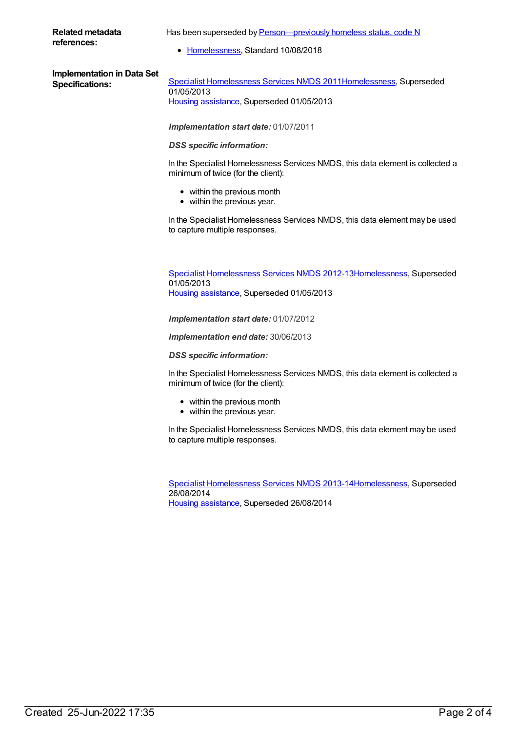#### **Related metadata references:**

Has been superseded by Person-previously homeless status, code N

• [Homelessness](https://meteor.aihw.gov.au/RegistrationAuthority/14), Standard 10/08/2018

| <b>Implementation in Data Set</b> |  |
|-----------------------------------|--|
| <b>Specifications:</b>            |  |

**Specialist [Homelessness](https://meteor.aihw.gov.au/content/398238) Services NMDS 201[1Homelessness](https://meteor.aihw.gov.au/RegistrationAuthority/14), Superseded** 01/05/2013 Housing [assistance](https://meteor.aihw.gov.au/RegistrationAuthority/11), Superseded 01/05/2013

*Implementation start date:* 01/07/2011

*DSS specific information:*

In the Specialist Homelessness Services NMDS, this data element is collected a minimum of twice (for the client):

- within the previous month
- within the previous year.

In the Specialist Homelessness Services NMDS, this data element may be used to capture multiple responses.

Specialist [Homelessness](https://meteor.aihw.gov.au/content/508954) Services NMDS 2012-1[3Homelessness](https://meteor.aihw.gov.au/RegistrationAuthority/14), Superseded 01/05/2013 Housing [assistance](https://meteor.aihw.gov.au/RegistrationAuthority/11), Superseded 01/05/2013

*Implementation start date:* 01/07/2012

*Implementation end date:* 30/06/2013

*DSS specific information:*

In the Specialist Homelessness Services NMDS, this data element is collected a minimum of twice (for the client):

- within the previous month
- within the previous year.

In the Specialist Homelessness Services NMDS, this data element may be used to capture multiple responses.

Specialist [Homelessness](https://meteor.aihw.gov.au/content/505626) Services NMDS 2013-1[4Homelessness](https://meteor.aihw.gov.au/RegistrationAuthority/14), Superseded 26/08/2014 Housing [assistance](https://meteor.aihw.gov.au/RegistrationAuthority/11), Superseded 26/08/2014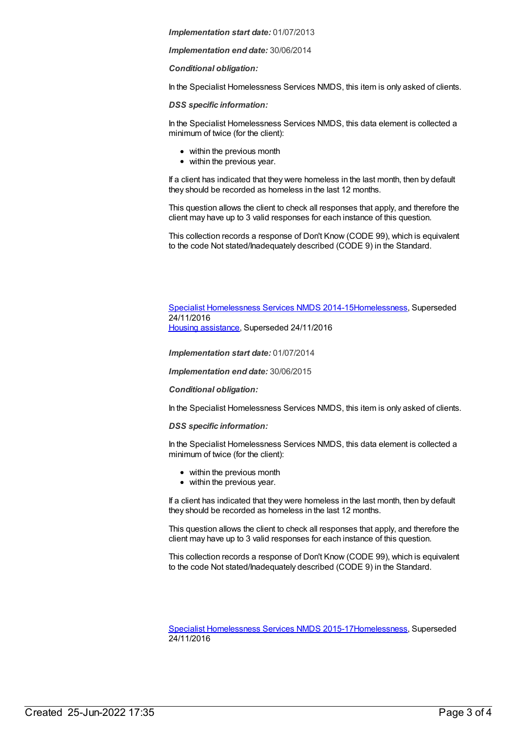*Implementation start date:* 01/07/2013

*Implementation end date:* 30/06/2014

*Conditional obligation:*

In the Specialist Homelessness Services NMDS, this item is only asked of clients.

*DSS specific information:*

In the Specialist Homelessness Services NMDS, this data element is collected a minimum of twice (for the client):

- within the previous month
- within the previous year.

If a client has indicated that they were homeless in the last month, then by default they should be recorded as homeless in the last 12 months.

This question allows the client to check all responses that apply, and therefore the client may have up to 3 valid responses for each instance of this question.

This collection records a response of Don't Know (CODE 99), which is equivalent to the code Not stated/Inadequately described (CODE 9) in the Standard.

Specialist [Homelessness](https://meteor.aihw.gov.au/content/581255) Services NMDS 2014-1[5Homelessness](https://meteor.aihw.gov.au/RegistrationAuthority/14), Superseded 24/11/2016 Housing [assistance](https://meteor.aihw.gov.au/RegistrationAuthority/11), Superseded 24/11/2016

*Implementation start date:* 01/07/2014

*Implementation end date:* 30/06/2015

#### *Conditional obligation:*

In the Specialist Homelessness Services NMDS, this item is only asked of clients.

*DSS specific information:*

In the Specialist Homelessness Services NMDS, this data element is collected a minimum of twice (for the client):

- within the previous month
- within the previous year.

If a client has indicated that they were homeless in the last month, then by default they should be recorded as homeless in the last 12 months.

This question allows the client to check all responses that apply, and therefore the client may have up to 3 valid responses for each instance of this question.

This collection records a response of Don't Know (CODE 99), which is equivalent to the code Not stated/Inadequately described (CODE 9) in the Standard.

Specialist [Homelessness](https://meteor.aihw.gov.au/content/658005) Services NMDS 2015-1[7Homelessness](https://meteor.aihw.gov.au/RegistrationAuthority/14), Superseded 24/11/2016